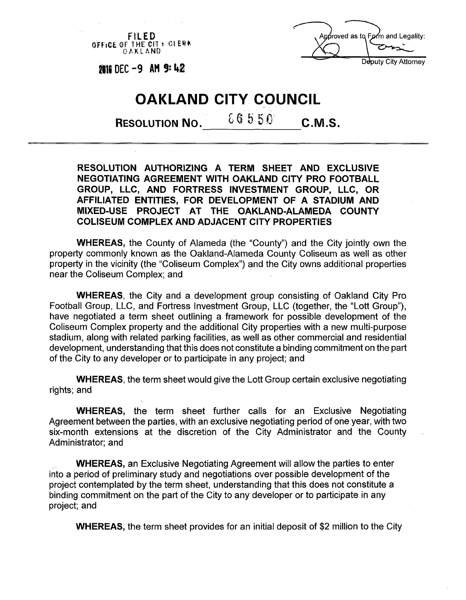**FILED SPETCE OF THE CITY CLERK** OAKLAND



**2816 DEC -9 AM 9:42** 

## **OAKLAND CITY COUNCIL**

**RESOLUTION NO.**  $66550$  **C.M.S.** 

**RESOLUTION AUTHORIZING A TERM SHEET AND EXCLUSIVE NEGOTIATING AGREEMENT WITH OAKLAND CITY PRO FOOTBALL GROUP, LLC, AND FORTRESS INVESTMENT GROUP, LLC, OR AFFILIATED ENTITIES, FOR DEVELOPMENT OF A STADIUM AND MIXED-USE PROJECT AT THE OAKLAND-ALAMEDA COUNTY COLISEUM COMPLEX AND ADJACENT CITY PROPERTIES** 

**WHEREAS,** the County of Alameda (the "County") and the City jointly own the property commonly known as the Oakland-Alameda County Coliseum as well as other property in the vicinity (the "Coliseum Complex") and the City owns additional properties near the Coliseum Complex; and

WHEREAS, the City and a development group consisting of Oakland City Pro Football Group, LLC, and Fortress Investment Group, LLC (together, the "Lott Group"), have negotiated a term sheet outlining a framework for possible development of the Coliseum Complex property and the additional City properties with a new multi-purpose stadium, along with related parking facilities, as well as other commercial and residential development, understanding that this does not constitute a binding commitment on the part of the City to any developer or to participate in any project; and

**WHEREAS,** the term sheet would give the Lott Group certain exclusive negotiating rights; and

**WHEREAS,** the term sheet further calls for an Exclusive Negotiating Agreement between the parties, with an exclusive negotiating period of one year, with two six-month extensions at the discretion of the City Administrator and the County Administrator; and

**WHEREAS,** an Exclusive Negotiating Agreement will allow the parties to enter into a period of preliminary study and negotiations over possible development of the project contemplated by the term sheet, understanding that this does not constitute a binding commitment on the part of the City to any developer or to participate in any project; and

**WHEREAS,** the term sheet provides for an initial deposit of \$2 million to the City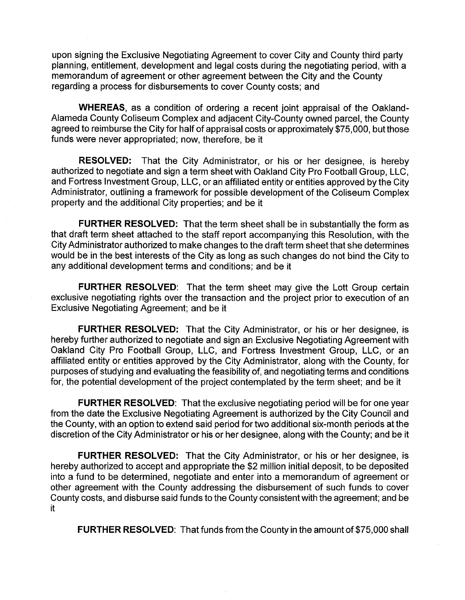upon signing the Exclusive Negotiating Agreement to cover City and County third party planning, entitlement, development and legal costs during the negotiating period, with a memorandum of agreement or other agreement between the City and the County regarding a process for disbursements to cover County costs; and

**WHEREAS,** as a condition of ordering a recent joint appraisal of the Oakland-Alameda County Coliseum Complex and adjacent City-County owned parcel, the County agreed to reimburse the City for half of appraisal costs or approximately \$75,000, but those funds were never appropriated; now, therefore, be it

**RESOLVED:** That the City Administrator, or his or her designee, is hereby authorized to negotiate and sign a term sheet with Oakland City Pro Football Group, LLC, and Fortress Investment Group, LLC, or an affiliated entity or entities approved by the City Administrator, outlining a framework for possible development of the Coliseum Complex property and the additional City properties; and be it

**FURTHER RESOLVED:** That the term sheet shall be in substantially the form as that draft term sheet attached to the staff report accompanying this Resolution, with the City Administrator authorized to make changes to the draft term sheet that she determines would be in the best interests of the City as long as such changes do not bind the City to any additional development terms and conditions; and be it

**FURTHER RESOLVED:** That the term sheet may give the Lott Group certain exclusive negotiating rights over the transaction and the project prior to execution of an Exclusive Negotiating Agreement; and be it

**FURTHER RESOLVED:** That the City Administrator, or his or her designee, is hereby further authorized to negotiate and sign an Exclusive Negotiating Agreement with Oakland City Pro Football Group, LLC, and Fortress Investment Group, LLC, or an affiliated entity or entities approved by the City Administrator, along with the County, for purposes of studying and evaluating the feasibility of, and negotiating terms and conditions for, the potential development of the project contemplated by the term sheet; and be it

**FURTHER RESOLVED:** That the exclusive negotiating period will be for one year from the date the Exclusive Negotiating Agreement is authorized by the City Council and the County, with an option to extend said period for two additional six-month periods at the discretion of the City Administrator or his or her designee, along with the County; and be it

**FURTHER RESOLVED:** That the City Administrator, or his or her designee, is hereby authorized to accept and appropriate the \$2 million initial deposit, to be deposited into a fund to be determined, negotiate and enter into a memorandum of agreement or other agreement with the County addressing the disbursement of such funds to cover County costs, and disburse said funds to the County consistent with the agreement; and be it

**FURTHER RESOLVED:** That funds from the County in the amount of \$75,000 shall